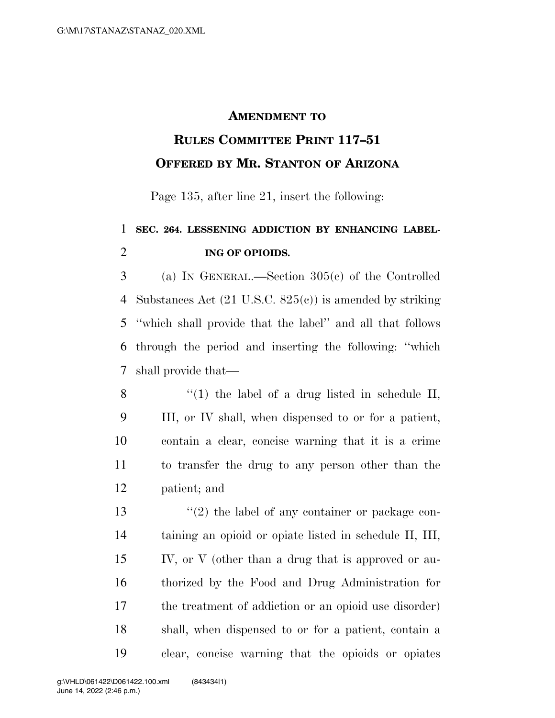## **AMENDMENT TO**

## **RULES COMMITTEE PRINT 117–51 OFFERED BY MR. STANTON OF ARIZONA**

Page 135, after line 21, insert the following:

## **SEC. 264. LESSENING ADDICTION BY ENHANCING LABEL-ING OF OPIOIDS.**

 (a) IN GENERAL.—Section 305(c) of the Controlled Substances Act (21 U.S.C. 825(c)) is amended by striking ''which shall provide that the label'' and all that follows through the period and inserting the following: ''which shall provide that—

8 "(1) the label of a drug listed in schedule II, III, or IV shall, when dispensed to or for a patient, contain a clear, concise warning that it is a crime to transfer the drug to any person other than the patient; and

13 ''(2) the label of any container or package con- taining an opioid or opiate listed in schedule II, III, IV, or V (other than a drug that is approved or au- thorized by the Food and Drug Administration for the treatment of addiction or an opioid use disorder) shall, when dispensed to or for a patient, contain a clear, concise warning that the opioids or opiates